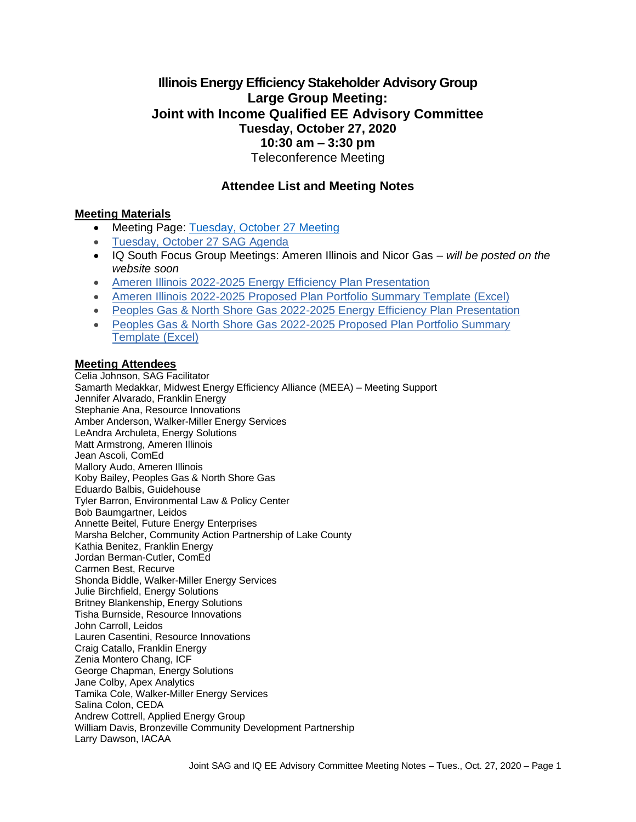## **Illinois Energy Efficiency Stakeholder Advisory Group Large Group Meeting: Joint with Income Qualified EE Advisory Committee Tuesday, October 27, 2020 10:30 am – 3:30 pm** Teleconference Meeting

## **Attendee List and Meeting Notes**

#### **Meeting Materials**

- Meeting Page: [Tuesday, October 27 Meeting](https://www.ilsag.info/event/tuesday-october-27-sag-meeting/)
- [Tuesday, October 27 SAG Agenda](https://ilsag.s3.amazonaws.com/IL-EE-SAG_Joint_IQ_Committee_Meeting_Tues-Oct-27-2020_Agenda_Finalv2.pdf)
- IQ South Focus Group Meetings: Ameren Illinois and Nicor Gas *will be posted on the website soon*
- [Ameren Illinois 2022-2025 Energy Efficiency Plan Presentation](https://ilsag.s3.amazonaws.com/AIC-SAG-Final-Portfolio-Presentation.pdf)
- [Ameren Illinois 2022-2025 Proposed Plan Portfolio Summary Template \(Excel\)](https://ilsag.s3.amazonaws.com/Ameren-Illinois-2022-2025-Proposed-Plan-Portfolio-Summary-Template.xlsx)
- [Peoples Gas & North Shore Gas 2022-2025 Energy Efficiency Plan Presentation](https://ilsag.s3.amazonaws.com/PGL-NSG-2022-2025-Draft-EE-Portfolio_FINAL_v5.pdf)
- [Peoples Gas & North Shore Gas 2022-2025 Proposed Plan Portfolio Summary](https://ilsag.s3.amazonaws.com/PGL-NSG-Oct-2020-SAG_Portfolio-Template_v2.xlsx)  [Template \(Excel\)](https://ilsag.s3.amazonaws.com/PGL-NSG-Oct-2020-SAG_Portfolio-Template_v2.xlsx)

#### **Meeting Attendees**

Celia Johnson, SAG Facilitator Samarth Medakkar, Midwest Energy Efficiency Alliance (MEEA) – Meeting Support Jennifer Alvarado, Franklin Energy Stephanie Ana, Resource Innovations Amber Anderson, Walker-Miller Energy Services LeAndra Archuleta, Energy Solutions Matt Armstrong, Ameren Illinois Jean Ascoli, ComEd Mallory Audo, Ameren Illinois Koby Bailey, Peoples Gas & North Shore Gas Eduardo Balbis, Guidehouse Tyler Barron, Environmental Law & Policy Center Bob Baumgartner, Leidos Annette Beitel, Future Energy Enterprises Marsha Belcher, Community Action Partnership of Lake County Kathia Benitez, Franklin Energy Jordan Berman-Cutler, ComEd Carmen Best, Recurve Shonda Biddle, Walker-Miller Energy Services Julie Birchfield, Energy Solutions Britney Blankenship, Energy Solutions Tisha Burnside, Resource Innovations John Carroll, Leidos Lauren Casentini, Resource Innovations Craig Catallo, Franklin Energy Zenia Montero Chang, ICF George Chapman, Energy Solutions Jane Colby, Apex Analytics Tamika Cole, Walker-Miller Energy Services Salina Colon, CEDA Andrew Cottrell, Applied Energy Group William Davis, Bronzeville Community Development Partnership Larry Dawson, IACAA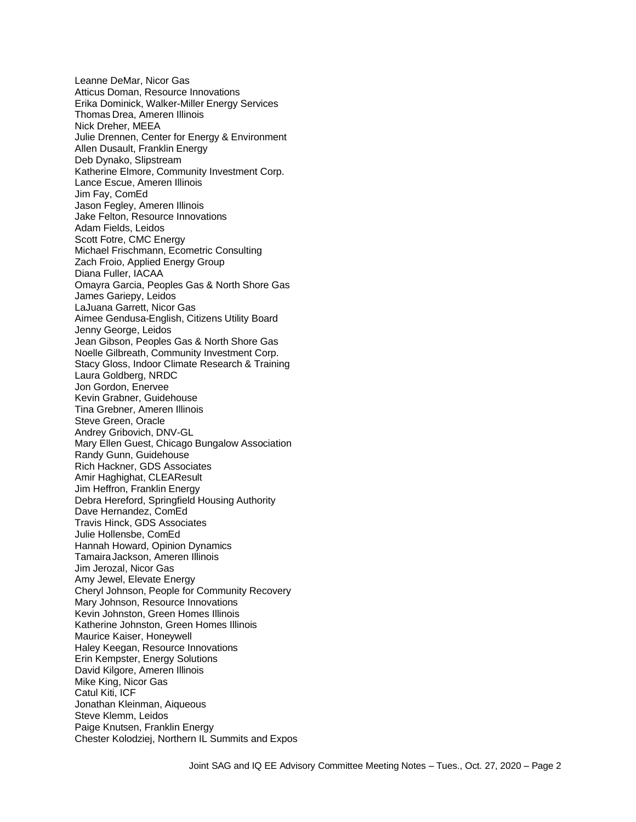Leanne DeMar, Nicor Gas Atticus Doman, Resource Innovations Erika Dominick, Walker-Miller Energy Services Thomas Drea, Ameren Illinois Nick Dreher, MEEA Julie Drennen, Center for Energy & Environment Allen Dusault, Franklin Energy Deb Dynako, Slipstream Katherine Elmore, Community Investment Corp. Lance Escue, Ameren Illinois Jim Fay, ComEd Jason Fegley, Ameren Illinois Jake Felton, Resource Innovations Adam Fields, Leidos Scott Fotre, CMC Energy Michael Frischmann, Ecometric Consulting Zach Froio, Applied Energy Group Diana Fuller, IACAA Omayra Garcia, Peoples Gas & North Shore Gas James Gariepy, Leidos LaJuana Garrett, Nicor Gas Aimee Gendusa-English, Citizens Utility Board Jenny George, Leidos Jean Gibson, Peoples Gas & North Shore Gas Noelle Gilbreath, Community Investment Corp. Stacy Gloss, Indoor Climate Research & Training Laura Goldberg, NRDC Jon Gordon, Enervee Kevin Grabner, Guidehouse Tina Grebner, Ameren Illinois Steve Green, Oracle Andrey Gribovich, DNV-GL Mary Ellen Guest, Chicago Bungalow Association Randy Gunn, Guidehouse Rich Hackner, GDS Associates Amir Haghighat, CLEAResult Jim Heffron, Franklin Energy Debra Hereford, Springfield Housing Authority Dave Hernandez, ComEd Travis Hinck, GDS Associates Julie Hollensbe, ComEd Hannah Howard, Opinion Dynamics TamairaJackson, Ameren Illinois Jim Jerozal, Nicor Gas Amy Jewel, Elevate Energy Cheryl Johnson, People for Community Recovery Mary Johnson, Resource Innovations Kevin Johnston, Green Homes Illinois Katherine Johnston, Green Homes Illinois Maurice Kaiser, Honeywell Haley Keegan, Resource Innovations Erin Kempster, Energy Solutions David Kilgore, Ameren Illinois Mike King, Nicor Gas Catul Kiti, ICF Jonathan Kleinman, Aiqueous Steve Klemm, Leidos Paige Knutsen, Franklin Energy Chester Kolodziej, Northern IL Summits and Expos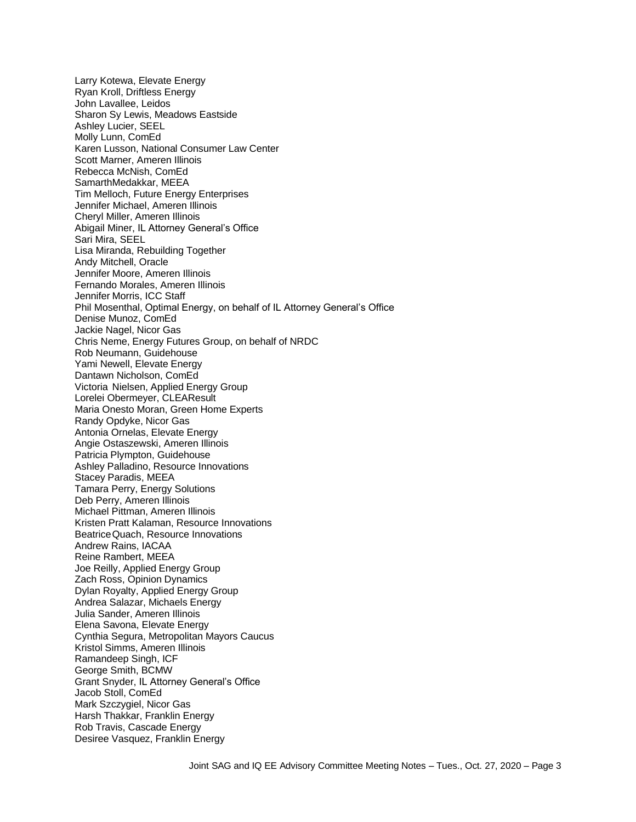Larry Kotewa, Elevate Energy Ryan Kroll, Driftless Energy John Lavallee, Leidos Sharon Sy Lewis, Meadows Eastside Ashley Lucier, SEEL Molly Lunn, ComEd Karen Lusson, National Consumer Law Center Scott Marner, Ameren Illinois Rebecca McNish, ComEd SamarthMedakkar, MEEA Tim Melloch, Future Energy Enterprises Jennifer Michael, Ameren Illinois Cheryl Miller, Ameren Illinois Abigail Miner, IL Attorney General's Office Sari Mira, SEEL Lisa Miranda, Rebuilding Together Andy Mitchell, Oracle Jennifer Moore, Ameren Illinois Fernando Morales, Ameren Illinois Jennifer Morris, ICC Staff Phil Mosenthal, Optimal Energy, on behalf of IL Attorney General's Office Denise Munoz, ComEd Jackie Nagel, Nicor Gas Chris Neme, Energy Futures Group, on behalf of NRDC Rob Neumann, Guidehouse Yami Newell, Elevate Energy Dantawn Nicholson, ComEd Victoria Nielsen, Applied Energy Group Lorelei Obermeyer, CLEAResult Maria Onesto Moran, Green Home Experts Randy Opdyke, Nicor Gas Antonia Ornelas, Elevate Energy Angie Ostaszewski, Ameren Illinois Patricia Plympton, Guidehouse Ashley Palladino, Resource Innovations Stacey Paradis, MEEA Tamara Perry, Energy Solutions Deb Perry, Ameren Illinois Michael Pittman, Ameren Illinois Kristen Pratt Kalaman, Resource Innovations BeatriceQuach, Resource Innovations Andrew Rains, IACAA Reine Rambert, MEEA Joe Reilly, Applied Energy Group Zach Ross, Opinion Dynamics Dylan Royalty, Applied Energy Group Andrea Salazar, Michaels Energy Julia Sander, Ameren Illinois Elena Savona, Elevate Energy Cynthia Segura, Metropolitan Mayors Caucus Kristol Simms, Ameren Illinois Ramandeep Singh, ICF George Smith, BCMW Grant Snyder, IL Attorney General's Office Jacob Stoll, ComEd Mark Szczygiel, Nicor Gas Harsh Thakkar, Franklin Energy Rob Travis, Cascade Energy Desiree Vasquez, Franklin Energy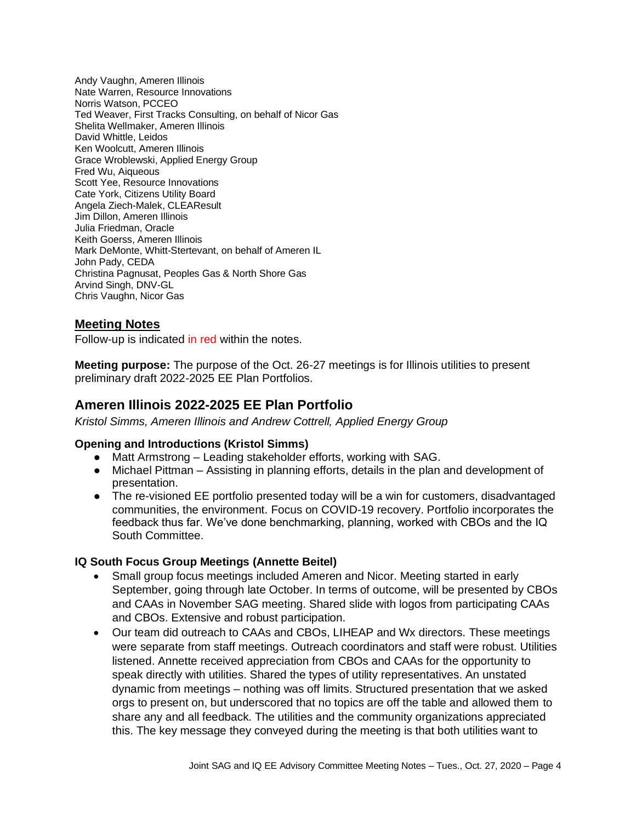Andy Vaughn, Ameren Illinois Nate Warren, Resource Innovations Norris Watson, PCCEO Ted Weaver, First Tracks Consulting, on behalf of Nicor Gas Shelita Wellmaker, Ameren Illinois David Whittle, Leidos Ken Woolcutt, Ameren Illinois Grace Wroblewski, Applied Energy Group Fred Wu, Aiqueous Scott Yee, Resource Innovations Cate York, Citizens Utility Board Angela Ziech-Malek, CLEAResult Jim Dillon, Ameren Illinois Julia Friedman, Oracle Keith Goerss, Ameren Illinois Mark DeMonte, Whitt-Stertevant, on behalf of Ameren IL John Pady, CEDA Christina Pagnusat, Peoples Gas & North Shore Gas Arvind Singh, DNV-GL Chris Vaughn, Nicor Gas

# **Meeting Notes**

Follow-up is indicated in red within the notes.

**Meeting purpose:** The purpose of the Oct. 26-27 meetings is for Illinois utilities to present preliminary draft 2022-2025 EE Plan Portfolios.

# **Ameren Illinois 2022-2025 EE Plan Portfolio**

*Kristol Simms, Ameren Illinois and Andrew Cottrell, Applied Energy Group*

#### **Opening and Introductions (Kristol Simms)**

- Matt Armstrong Leading stakeholder efforts, working with SAG.
- Michael Pittman Assisting in planning efforts, details in the plan and development of presentation.
- The re-visioned EE portfolio presented today will be a win for customers, disadvantaged communities, the environment. Focus on COVID-19 recovery. Portfolio incorporates the feedback thus far. We've done benchmarking, planning, worked with CBOs and the IQ South Committee.

#### **IQ South Focus Group Meetings (Annette Beitel)**

- Small group focus meetings included Ameren and Nicor. Meeting started in early September, going through late October. In terms of outcome, will be presented by CBOs and CAAs in November SAG meeting. Shared slide with logos from participating CAAs and CBOs. Extensive and robust participation.
- Our team did outreach to CAAs and CBOs, LIHEAP and Wx directors. These meetings were separate from staff meetings. Outreach coordinators and staff were robust. Utilities listened. Annette received appreciation from CBOs and CAAs for the opportunity to speak directly with utilities. Shared the types of utility representatives. An unstated dynamic from meetings – nothing was off limits. Structured presentation that we asked orgs to present on, but underscored that no topics are off the table and allowed them to share any and all feedback. The utilities and the community organizations appreciated this. The key message they conveyed during the meeting is that both utilities want to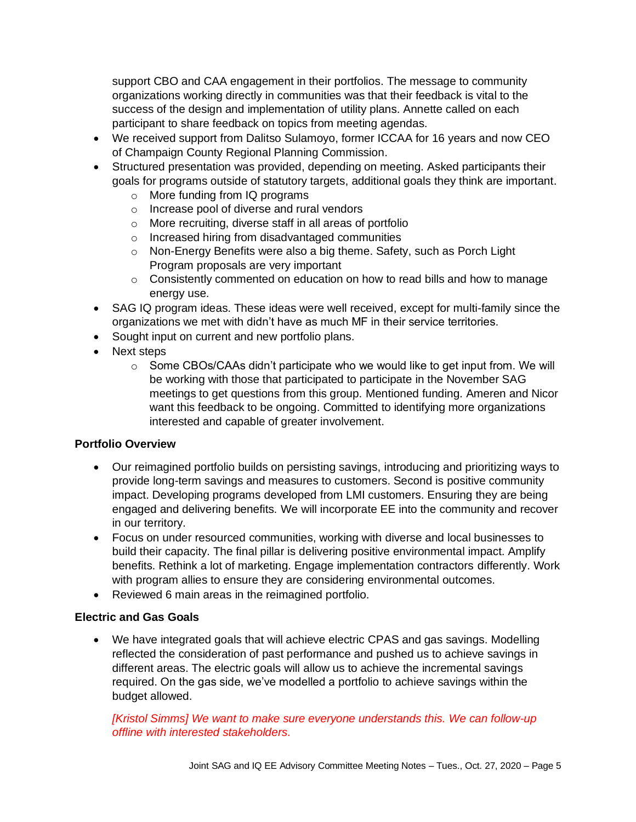support CBO and CAA engagement in their portfolios. The message to community organizations working directly in communities was that their feedback is vital to the success of the design and implementation of utility plans. Annette called on each participant to share feedback on topics from meeting agendas.

- We received support from Dalitso Sulamoyo, former ICCAA for 16 years and now CEO of Champaign County Regional Planning Commission.
- Structured presentation was provided, depending on meeting. Asked participants their goals for programs outside of statutory targets, additional goals they think are important.
	- o More funding from IQ programs
	- o Increase pool of diverse and rural vendors
	- o More recruiting, diverse staff in all areas of portfolio
	- o Increased hiring from disadvantaged communities
	- o Non-Energy Benefits were also a big theme. Safety, such as Porch Light Program proposals are very important
	- $\circ$  Consistently commented on education on how to read bills and how to manage energy use.
- SAG IQ program ideas. These ideas were well received, except for multi-family since the organizations we met with didn't have as much MF in their service territories.
- Sought input on current and new portfolio plans.
- Next steps
	- $\circ$  Some CBOs/CAAs didn't participate who we would like to get input from. We will be working with those that participated to participate in the November SAG meetings to get questions from this group. Mentioned funding. Ameren and Nicor want this feedback to be ongoing. Committed to identifying more organizations interested and capable of greater involvement.

#### **Portfolio Overview**

- Our reimagined portfolio builds on persisting savings, introducing and prioritizing ways to provide long-term savings and measures to customers. Second is positive community impact. Developing programs developed from LMI customers. Ensuring they are being engaged and delivering benefits. We will incorporate EE into the community and recover in our territory.
- Focus on under resourced communities, working with diverse and local businesses to build their capacity. The final pillar is delivering positive environmental impact. Amplify benefits. Rethink a lot of marketing. Engage implementation contractors differently. Work with program allies to ensure they are considering environmental outcomes.
- Reviewed 6 main areas in the reimagined portfolio.

#### **Electric and Gas Goals**

• We have integrated goals that will achieve electric CPAS and gas savings. Modelling reflected the consideration of past performance and pushed us to achieve savings in different areas. The electric goals will allow us to achieve the incremental savings required. On the gas side, we've modelled a portfolio to achieve savings within the budget allowed.

## *[Kristol Simms] We want to make sure everyone understands this. We can follow-up offline with interested stakeholders.*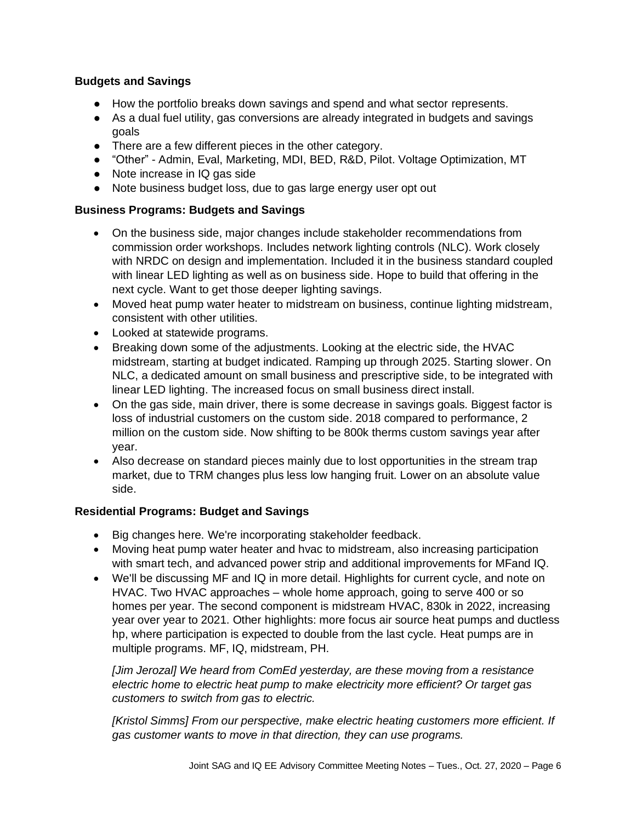### **Budgets and Savings**

- How the portfolio breaks down savings and spend and what sector represents.
- As a dual fuel utility, gas conversions are already integrated in budgets and savings goals
- There are a few different pieces in the other category.
- "Other" Admin, Eval, Marketing, MDI, BED, R&D, Pilot. Voltage Optimization, MT
- Note increase in IQ gas side
- Note business budget loss, due to gas large energy user opt out

#### **Business Programs: Budgets and Savings**

- On the business side, major changes include stakeholder recommendations from commission order workshops. Includes network lighting controls (NLC). Work closely with NRDC on design and implementation. Included it in the business standard coupled with linear LED lighting as well as on business side. Hope to build that offering in the next cycle. Want to get those deeper lighting savings.
- Moved heat pump water heater to midstream on business, continue lighting midstream, consistent with other utilities.
- Looked at statewide programs.
- Breaking down some of the adjustments. Looking at the electric side, the HVAC midstream, starting at budget indicated. Ramping up through 2025. Starting slower. On NLC, a dedicated amount on small business and prescriptive side, to be integrated with linear LED lighting. The increased focus on small business direct install.
- On the gas side, main driver, there is some decrease in savings goals. Biggest factor is loss of industrial customers on the custom side. 2018 compared to performance, 2 million on the custom side. Now shifting to be 800k therms custom savings year after year.
- Also decrease on standard pieces mainly due to lost opportunities in the stream trap market, due to TRM changes plus less low hanging fruit. Lower on an absolute value side.

#### **Residential Programs: Budget and Savings**

- Big changes here. We're incorporating stakeholder feedback.
- Moving heat pump water heater and hvac to midstream, also increasing participation with smart tech, and advanced power strip and additional improvements for MFand IQ.
- We'll be discussing MF and IQ in more detail. Highlights for current cycle, and note on HVAC. Two HVAC approaches – whole home approach, going to serve 400 or so homes per year. The second component is midstream HVAC, 830k in 2022, increasing year over year to 2021. Other highlights: more focus air source heat pumps and ductless hp, where participation is expected to double from the last cycle. Heat pumps are in multiple programs. MF, IQ, midstream, PH.

*[Jim Jerozal] We heard from ComEd yesterday, are these moving from a resistance electric home to electric heat pump to make electricity more efficient? Or target gas customers to switch from gas to electric.* 

*[Kristol Simms] From our perspective, make electric heating customers more efficient. If gas customer wants to move in that direction, they can use programs.*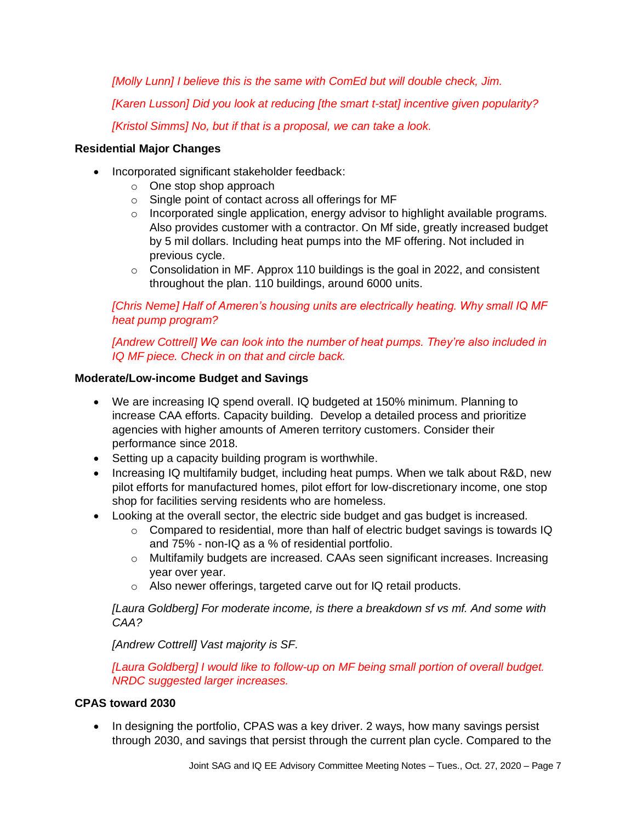*[Molly Lunn] I believe this is the same with ComEd but will double check, Jim.*

*[Karen Lusson] Did you look at reducing [the smart t-stat] incentive given popularity?*

*[Kristol Simms] No, but if that is a proposal, we can take a look.*

### **Residential Major Changes**

- Incorporated significant stakeholder feedback:
	- o One stop shop approach
	- o Single point of contact across all offerings for MF
	- o Incorporated single application, energy advisor to highlight available programs. Also provides customer with a contractor. On Mf side, greatly increased budget by 5 mil dollars. Including heat pumps into the MF offering. Not included in previous cycle.
	- $\circ$  Consolidation in MF. Approx 110 buildings is the goal in 2022, and consistent throughout the plan. 110 buildings, around 6000 units.

*[Chris Neme] Half of Ameren's housing units are electrically heating. Why small IQ MF heat pump program?* 

*[Andrew Cottrell] We can look into the number of heat pumps. They're also included in IQ MF piece. Check in on that and circle back.*

#### **Moderate/Low-income Budget and Savings**

- We are increasing IQ spend overall. IQ budgeted at 150% minimum. Planning to increase CAA efforts. Capacity building. Develop a detailed process and prioritize agencies with higher amounts of Ameren territory customers. Consider their performance since 2018.
- Setting up a capacity building program is worthwhile.
- Increasing IQ multifamily budget, including heat pumps. When we talk about R&D, new pilot efforts for manufactured homes, pilot effort for low-discretionary income, one stop shop for facilities serving residents who are homeless.
- Looking at the overall sector, the electric side budget and gas budget is increased.
	- o Compared to residential, more than half of electric budget savings is towards IQ and 75% - non-IQ as a % of residential portfolio.
	- o Multifamily budgets are increased. CAAs seen significant increases. Increasing year over year.
	- o Also newer offerings, targeted carve out for IQ retail products.

*[Laura Goldberg] For moderate income, is there a breakdown sf vs mf. And some with CAA?*

*[Andrew Cottrell] Vast majority is SF.*

*[Laura Goldberg] I would like to follow-up on MF being small portion of overall budget. NRDC suggested larger increases.* 

#### **CPAS toward 2030**

• In designing the portfolio, CPAS was a key driver. 2 ways, how many savings persist through 2030, and savings that persist through the current plan cycle. Compared to the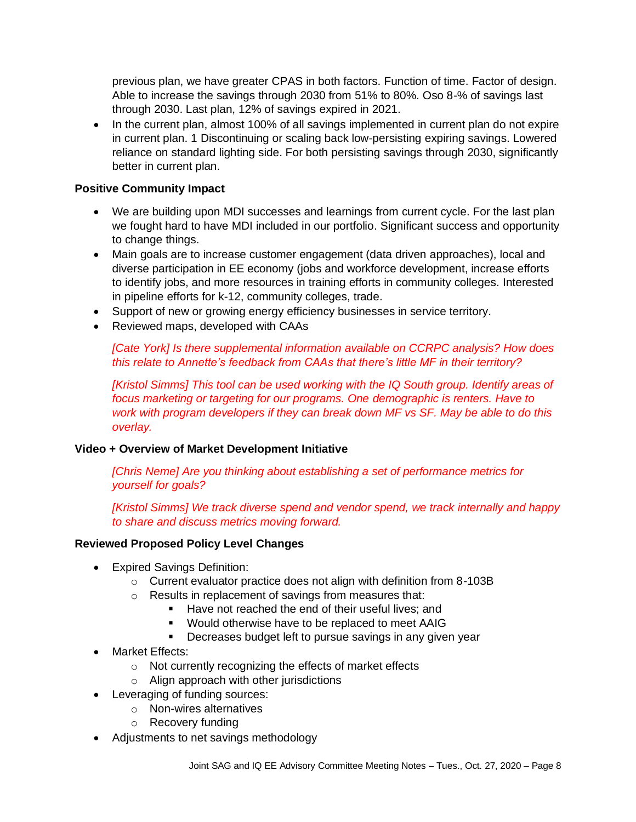previous plan, we have greater CPAS in both factors. Function of time. Factor of design. Able to increase the savings through 2030 from 51% to 80%. Oso 8-% of savings last through 2030. Last plan, 12% of savings expired in 2021.

• In the current plan, almost 100% of all savings implemented in current plan do not expire in current plan. 1 Discontinuing or scaling back low-persisting expiring savings. Lowered reliance on standard lighting side. For both persisting savings through 2030, significantly better in current plan.

#### **Positive Community Impact**

- We are building upon MDI successes and learnings from current cycle. For the last plan we fought hard to have MDI included in our portfolio. Significant success and opportunity to change things.
- Main goals are to increase customer engagement (data driven approaches), local and diverse participation in EE economy (jobs and workforce development, increase efforts to identify jobs, and more resources in training efforts in community colleges. Interested in pipeline efforts for k-12, community colleges, trade.
- Support of new or growing energy efficiency businesses in service territory.
- Reviewed maps, developed with CAAs

*[Cate York] Is there supplemental information available on CCRPC analysis? How does this relate to Annette's feedback from CAAs that there's little MF in their territory?*

*[Kristol Simms] This tool can be used working with the IQ South group. Identify areas of focus marketing or targeting for our programs. One demographic is renters. Have to work with program developers if they can break down MF vs SF. May be able to do this overlay.* 

#### **Video + Overview of Market Development Initiative**

*[Chris Neme] Are you thinking about establishing a set of performance metrics for yourself for goals?* 

*[Kristol Simms] We track diverse spend and vendor spend, we track internally and happy to share and discuss metrics moving forward.* 

#### **Reviewed Proposed Policy Level Changes**

- Expired Savings Definition:
	- o Current evaluator practice does not align with definition from 8-103B
	- o Results in replacement of savings from measures that:
		- Have not reached the end of their useful lives: and
		- Would otherwise have to be replaced to meet AAIG
		- Decreases budget left to pursue savings in any given year
- Market Effects:
	- o Not currently recognizing the effects of market effects
	- o Align approach with other jurisdictions
- Leveraging of funding sources:
	- o Non-wires alternatives
		- o Recovery funding
- Adjustments to net savings methodology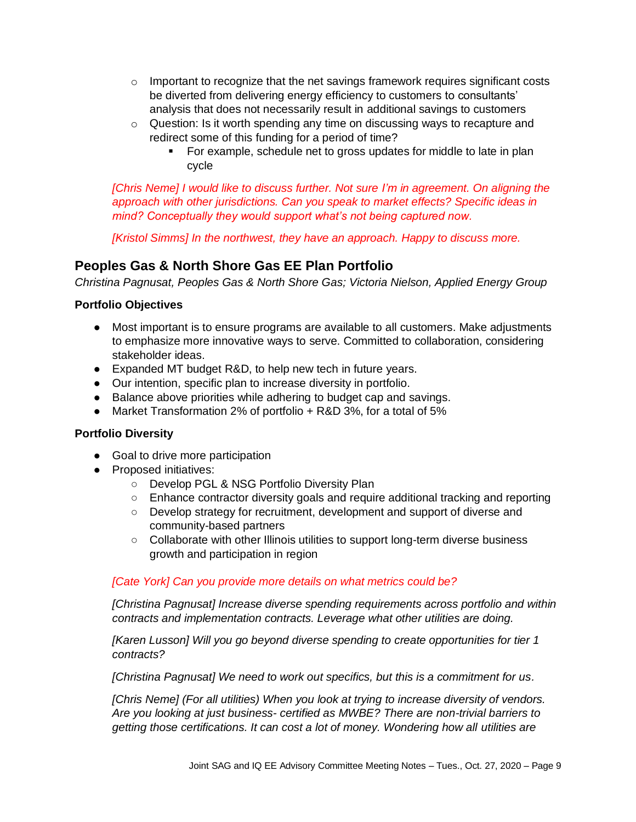- $\circ$  Important to recognize that the net savings framework requires significant costs be diverted from delivering energy efficiency to customers to consultants' analysis that does not necessarily result in additional savings to customers
- $\circ$  Question: Is it worth spending any time on discussing ways to recapture and redirect some of this funding for a period of time?
	- For example, schedule net to gross updates for middle to late in plan cycle

*[Chris Neme] I would like to discuss further. Not sure I'm in agreement. On aligning the approach with other jurisdictions. Can you speak to market effects? Specific ideas in mind? Conceptually they would support what's not being captured now.*

*[Kristol Simms] In the northwest, they have an approach. Happy to discuss more.* 

# **Peoples Gas & North Shore Gas EE Plan Portfolio**

*Christina Pagnusat, Peoples Gas & North Shore Gas; Victoria Nielson, Applied Energy Group*

## **Portfolio Objectives**

- Most important is to ensure programs are available to all customers. Make adjustments to emphasize more innovative ways to serve. Committed to collaboration, considering stakeholder ideas.
- Expanded MT budget R&D, to help new tech in future years.
- Our intention, specific plan to increase diversity in portfolio.
- Balance above priorities while adhering to budget cap and savings.
- Market Transformation 2% of portfolio + R&D 3%, for a total of 5%

#### **Portfolio Diversity**

- Goal to drive more participation
- Proposed initiatives:
	- Develop PGL & NSG Portfolio Diversity Plan
	- Enhance contractor diversity goals and require additional tracking and reporting
	- Develop strategy for recruitment, development and support of diverse and community-based partners
	- Collaborate with other Illinois utilities to support long-term diverse business growth and participation in region

#### *[Cate York] Can you provide more details on what metrics could be?*

*[Christina Pagnusat] Increase diverse spending requirements across portfolio and within contracts and implementation contracts. Leverage what other utilities are doing.* 

*[Karen Lusson] Will you go beyond diverse spending to create opportunities for tier 1 contracts?*

*[Christina Pagnusat] We need to work out specifics, but this is a commitment for us.* 

*[Chris Neme] (For all utilities) When you look at trying to increase diversity of vendors. Are you looking at just business- certified as MWBE? There are non-trivial barriers to getting those certifications. It can cost a lot of money. Wondering how all utilities are*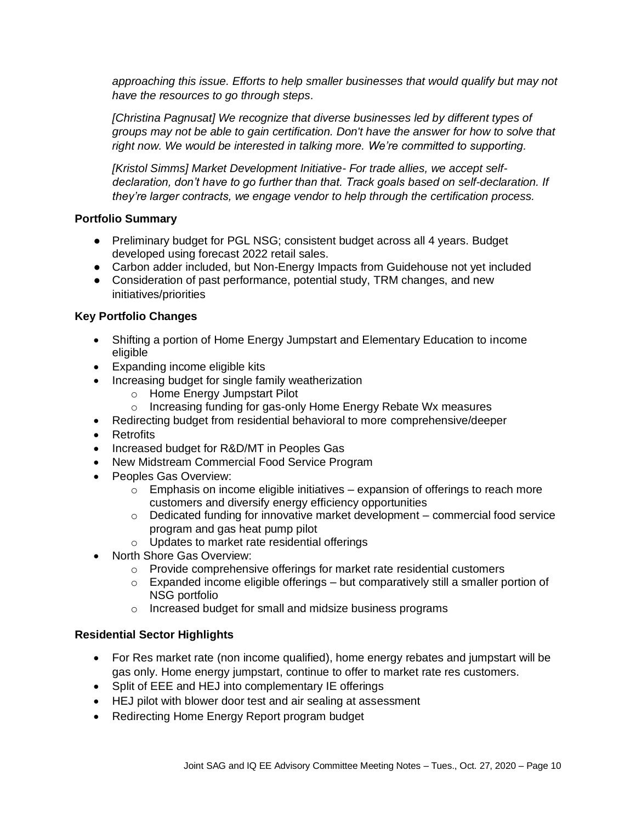*approaching this issue. Efforts to help smaller businesses that would qualify but may not have the resources to go through steps.*

*[Christina Pagnusat] We recognize that diverse businesses led by different types of groups may not be able to gain certification. Don't have the answer for how to solve that right now. We would be interested in talking more. We're committed to supporting.*

*[Kristol Simms] Market Development Initiative- For trade allies, we accept selfdeclaration, don't have to go further than that. Track goals based on self-declaration. If they're larger contracts, we engage vendor to help through the certification process.* 

### **Portfolio Summary**

- Preliminary budget for PGL NSG; consistent budget across all 4 years. Budget developed using forecast 2022 retail sales.
- Carbon adder included, but Non-Energy Impacts from Guidehouse not yet included
- Consideration of past performance, potential study, TRM changes, and new initiatives/priorities

#### **Key Portfolio Changes**

- Shifting a portion of Home Energy Jumpstart and Elementary Education to income eligible
- Expanding income eligible kits
- Increasing budget for single family weatherization
	- o Home Energy Jumpstart Pilot
	- o Increasing funding for gas-only Home Energy Rebate Wx measures
- Redirecting budget from residential behavioral to more comprehensive/deeper
- Retrofits
- Increased budget for R&D/MT in Peoples Gas
- New Midstream Commercial Food Service Program
- Peoples Gas Overview:
	- $\circ$  Emphasis on income eligible initiatives expansion of offerings to reach more customers and diversify energy efficiency opportunities
	- $\circ$  Dedicated funding for innovative market development commercial food service program and gas heat pump pilot
	- o Updates to market rate residential offerings
- North Shore Gas Overview:
	- o Provide comprehensive offerings for market rate residential customers
	- o Expanded income eligible offerings but comparatively still a smaller portion of NSG portfolio
	- o Increased budget for small and midsize business programs

#### **Residential Sector Highlights**

- For Res market rate (non income qualified), home energy rebates and jumpstart will be gas only. Home energy jumpstart, continue to offer to market rate res customers.
- Split of EEE and HEJ into complementary IE offerings
- HEJ pilot with blower door test and air sealing at assessment
- Redirecting Home Energy Report program budget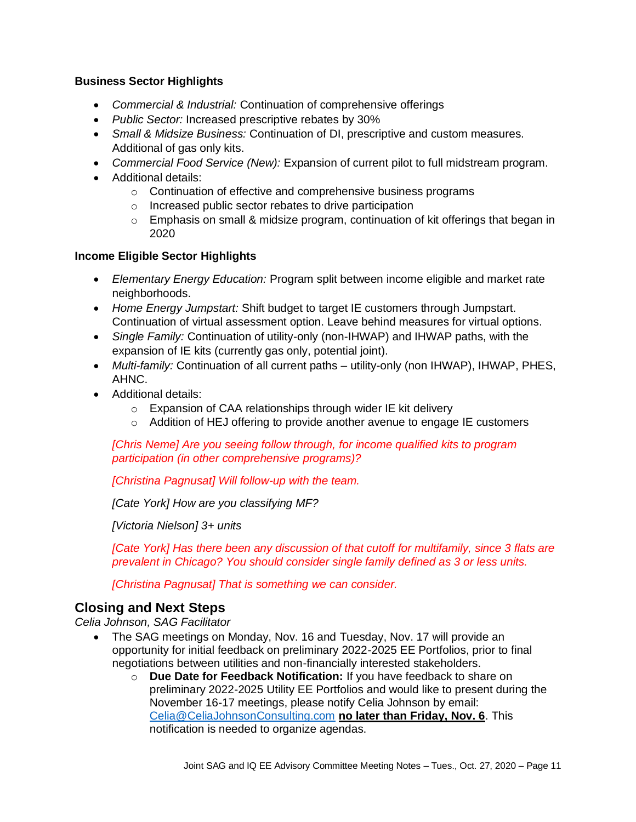#### **Business Sector Highlights**

- *Commercial & Industrial:* Continuation of comprehensive offerings
- *Public Sector:* Increased prescriptive rebates by 30%
- *Small & Midsize Business:* Continuation of DI, prescriptive and custom measures. Additional of gas only kits.
- *Commercial Food Service (New):* Expansion of current pilot to full midstream program.
- Additional details:
	- o Continuation of effective and comprehensive business programs
	- o Increased public sector rebates to drive participation
	- $\circ$  Emphasis on small & midsize program, continuation of kit offerings that began in 2020

### **Income Eligible Sector Highlights**

- *Elementary Energy Education:* Program split between income eligible and market rate neighborhoods.
- *Home Energy Jumpstart:* Shift budget to target IE customers through Jumpstart. Continuation of virtual assessment option. Leave behind measures for virtual options.
- *Single Family:* Continuation of utility-only (non-IHWAP) and IHWAP paths, with the expansion of IE kits (currently gas only, potential joint).
- *Multi-family:* Continuation of all current paths utility-only (non IHWAP), IHWAP, PHES, AHNC.
- Additional details:
	- o Expansion of CAA relationships through wider IE kit delivery
	- $\circ$  Addition of HEJ offering to provide another avenue to engage IE customers

*[Chris Neme] Are you seeing follow through, for income qualified kits to program participation (in other comprehensive programs)?*

*[Christina Pagnusat] Will follow-up with the team.* 

*[Cate York] How are you classifying MF?*

*[Victoria Nielson] 3+ units*

*[Cate York] Has there been any discussion of that cutoff for multifamily, since 3 flats are prevalent in Chicago? You should consider single family defined as 3 or less units.*

*[Christina Pagnusat] That is something we can consider.*

# **Closing and Next Steps**

*Celia Johnson, SAG Facilitator*

- The SAG meetings on Monday, Nov. 16 and Tuesday, Nov. 17 will provide an opportunity for initial feedback on preliminary 2022-2025 EE Portfolios, prior to final negotiations between utilities and non-financially interested stakeholders.
	- o **Due Date for Feedback Notification:** If you have feedback to share on preliminary 2022-2025 Utility EE Portfolios and would like to present during the November 16-17 meetings, please notify Celia Johnson by email: [Celia@CeliaJohnsonConsulting.com](mailto:Celia@CeliaJohnsonConsulting.com) **no later than Friday, Nov. 6**. This notification is needed to organize agendas.